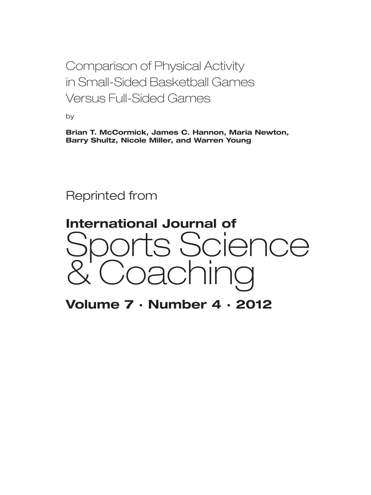Comparison of Physical Activity in Small-Sided Basketball Games Versus Full-Sided Games

by

**Brian T. McCormick, James C. Hannon, Maria Newton, Barry Shultz, Nicole Miller, and Warren Young**

Reprinted from



**Volume 7 · Number 4 · 2012**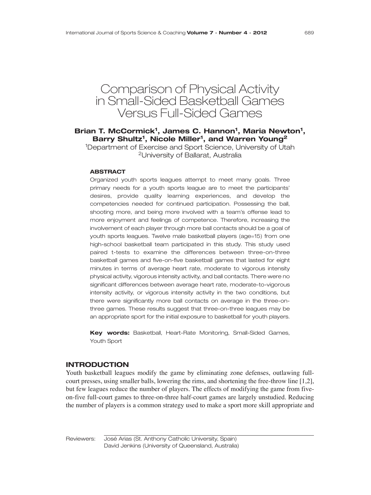# Comparison of Physical Activity in Small-Sided Basketball Games Versus Full-Sided Games

# Brian T. McCormick<sup>1</sup>, James C. Hannon<sup>1</sup>, Maria Newton<sup>1</sup>, **Barry Shultz1, Nicole Miller1, and Warren Young2**

<sup>1</sup>Department of Exercise and Sport Science, University of Utah 2University of Ballarat, Australia

### **ABSTRACT**

Organized youth sports leagues attempt to meet many goals. Three primary needs for a youth sports league are to meet the participants' desires, provide quality learning experiences, and develop the competencies needed for continued participation. Possessing the ball, shooting more, and being more involved with a team's offense lead to more enjoyment and feelings of competence. Therefore, increasing the involvement of each player through more ball contacts should be a goal of youth sports leagues. Twelve male basketball players (age=15) from one high-school basketball team participated in this study. This study used paired t-tests to examine the differences between three-on-three basketball games and five-on-five basketball games that lasted for eight minutes in terms of average heart rate, moderate to vigorous intensity physical activity, vigorous intensity activity, and ball contacts. There were no significant differences between average heart rate, moderate-to-vigorous intensity activity, or vigorous intensity activity in the two conditions, but there were significantly more ball contacts on average in the three-onthree games. These results suggest that three-on-three leagues may be an appropriate sport for the initial exposure to basketball for youth players.

**Key words:** Basketball, Heart-Rate Monitoring, Small-Sided Games, Youth Sport

#### **INTRODUCTION**

Youth basketball leagues modify the game by eliminating zone defenses, outlawing fullcourt presses, using smaller balls, lowering the rims, and shortening the free-throw line [1,2], but few leagues reduce the number of players. The effects of modifying the game from fiveon-five full-court games to three-on-three half-court games are largely unstudied. Reducing the number of players is a common strategy used to make a sport more skill appropriate and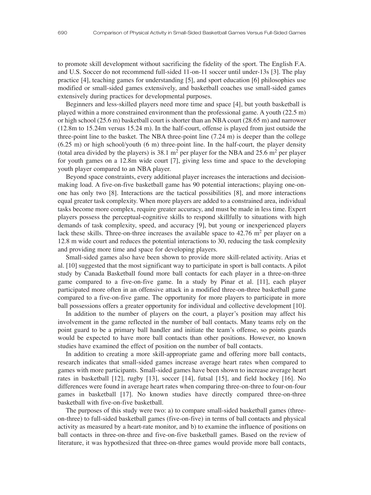to promote skill development without sacrificing the fidelity of the sport. The English F.A. and U.S. Soccer do not recommend full-sided 11-on-11 soccer until under-13s [3]. The play practice [4], teaching games for understanding [5], and sport education [6] philosophies use modified or small-sided games extensively, and basketball coaches use small-sided games extensively during practices for developmental purposes.

Beginners and less-skilled players need more time and space [4], but youth basketball is played within a more constrained environment than the professional game. A youth (22.5 m) or high school (25.6 m) basketball court is shorter than an NBA court (28.65 m) and narrower (12.8m to 15.24m versus 15.24 m). In the half-court, offense is played from just outside the three-point line to the basket. The NBA three-point line  $(7.24 \text{ m})$  is deeper than the college  $(6.25 \text{ m})$  or high school/youth  $(6 \text{ m})$  three-point line. In the half-court, the player density (total area divided by the players) is 38.1  $m<sup>2</sup>$  per player for the NBA and 25.6  $m<sup>2</sup>$  per player for youth games on a 12.8m wide court [7], giving less time and space to the developing youth player compared to an NBA player.

Beyond space constraints, every additional player increases the interactions and decisionmaking load. A five-on-five basketball game has 90 potential interactions; playing one-onone has only two [8]. Interactions are the tactical possibilities [8], and more interactions equal greater task complexity. When more players are added to a constrained area, individual tasks become more complex, require greater accuracy, and must be made in less time. Expert players possess the perceptual-cognitive skills to respond skillfully to situations with high demands of task complexity, speed, and accuracy [9], but young or inexperienced players lack these skills. Three-on-three increases the available space to  $42.76$  m<sup>2</sup> per player on a 12.8 m wide court and reduces the potential interactions to 30, reducing the task complexity and providing more time and space for developing players.

Small-sided games also have been shown to provide more skill-related activity. Arias et al. [10] suggested that the most significant way to participate in sport is ball contacts. A pilot study by Canada Basketball found more ball contacts for each player in a three-on-three game compared to a five-on-five game. In a study by Pinar et al. [11], each player participated more often in an offensive attack in a modified three-on-three basketball game compared to a five-on-five game. The opportunity for more players to participate in more ball possessions offers a greater opportunity for individual and collective development [10].

In addition to the number of players on the court, a player's position may affect his involvement in the game reflected in the number of ball contacts. Many teams rely on the point guard to be a primary ball handler and initiate the team's offense, so points guards would be expected to have more ball contacts than other positions. However, no known studies have examined the effect of position on the number of ball contacts.

In addition to creating a more skill-appropriate game and offering more ball contacts, research indicates that small-sided games increase average heart rates when compared to games with more participants. Small-sided games have been shown to increase average heart rates in basketball [12], rugby [13], soccer [14], futsal [15], and field hockey [16]. No differences were found in average heart rates when comparing three-on-three to four-on-four games in basketball [17]. No known studies have directly compared three-on-three basketball with five-on-five basketball.

The purposes of this study were two: a) to compare small-sided basketball games (threeon-three) to full-sided basketball games (five-on-five) in terms of ball contacts and physical activity as measured by a heart-rate monitor, and b) to examine the influence of positions on ball contacts in three-on-three and five-on-five basketball games. Based on the review of literature, it was hypothesized that three-on-three games would provide more ball contacts,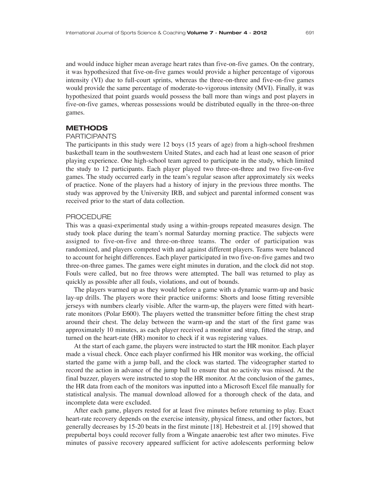and would induce higher mean average heart rates than five-on-five games. On the contrary, it was hypothesized that five-on-five games would provide a higher percentage of vigorous intensity (VI) due to full-court sprints, whereas the three-on-three and five-on-five games would provide the same percentage of moderate-to-vigorous intensity (MVI). Finally, it was hypothesized that point guards would possess the ball more than wings and post players in five-on-five games, whereas possessions would be distributed equally in the three-on-three games.

#### **METHODS**

#### PARTICIPANTS

The participants in this study were 12 boys (15 years of age) from a high-school freshmen basketball team in the southwestern United States, and each had at least one season of prior playing experience. One high-school team agreed to participate in the study, which limited the study to 12 participants. Each player played two three-on-three and two five-on-five games. The study occurred early in the team's regular season after approximately six weeks of practice. None of the players had a history of injury in the previous three months. The study was approved by the University IRB, and subject and parental informed consent was received prior to the start of data collection.

# PROCEDURE

This was a quasi-experimental study using a within-groups repeated measures design. The study took place during the team's normal Saturday morning practice. The subjects were assigned to five-on-five and three-on-three teams. The order of participation was randomized, and players competed with and against different players. Teams were balanced to account for height differences. Each player participated in two five-on-five games and two three-on-three games. The games were eight minutes in duration, and the clock did not stop. Fouls were called, but no free throws were attempted. The ball was returned to play as quickly as possible after all fouls, violations, and out of bounds.

The players warmed up as they would before a game with a dynamic warm-up and basic lay-up drills. The players wore their practice uniforms: Shorts and loose fitting reversible jerseys with numbers clearly visible. After the warm-up, the players were fitted with heartrate monitors (Polar E600). The players wetted the transmitter before fitting the chest strap around their chest. The delay between the warm-up and the start of the first game was approximately 10 minutes, as each player received a monitor and strap, fitted the strap, and turned on the heart-rate (HR) monitor to check if it was registering values.

At the start of each game, the players were instructed to start the HR monitor. Each player made a visual check. Once each player confirmed his HR monitor was working, the official started the game with a jump ball, and the clock was started. The videographer started to record the action in advance of the jump ball to ensure that no activity was missed. At the final buzzer, players were instructed to stop the HR monitor. At the conclusion of the games, the HR data from each of the monitors was inputted into a Microsoft Excel file manually for statistical analysis. The manual download allowed for a thorough check of the data, and incomplete data were excluded.

After each game, players rested for at least five minutes before returning to play. Exact heart-rate recovery depends on the exercise intensity, physical fitness, and other factors, but generally decreases by 15-20 beats in the first minute [18]. Hebestreit et al. [19] showed that prepubertal boys could recover fully from a Wingate anaerobic test after two minutes. Five minutes of passive recovery appeared sufficient for active adolescents performing below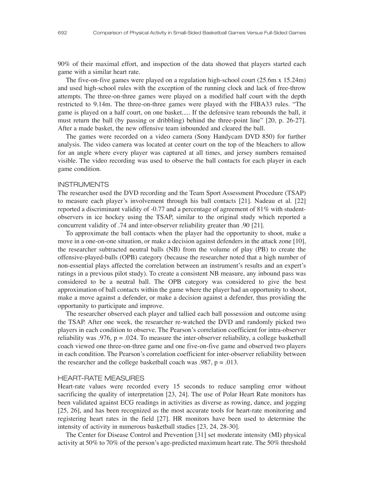90% of their maximal effort, and inspection of the data showed that players started each game with a similar heart rate.

The five-on-five games were played on a regulation high-school court (25.6m x 15.24m) and used high-school rules with the exception of the running clock and lack of free-throw attempts. The three-on-three games were played on a modified half court with the depth restricted to  $9.14$ m. The three-on-three games were played with the FIBA $33$  rules. "The game is played on a half court, on one basket..... If the defensive team rebounds the ball, it must return the ball (by passing or dribbling) behind the three-point line"  $[20, p. 26-27]$ . After a made basket, the new offensive team inbounded and cleared the ball.

The games were recorded on a video camera (Sony Handycam DVD 850) for further analysis. The video camera was located at center court on the top of the bleachers to allow for an angle where every player was captured at all times, and jersey numbers remained visible. The video recording was used to observe the ball contacts for each player in each game condition.

#### **INSTRUMENTS**

The researcher used the DVD recording and the Team Sport Assessment Procedure (TSAP) to measure each player's involvement through his ball contacts [21]. Nadeau et al. [22] reported a discriminant validity of -0.77 and a percentage of agreement of 81% with studentobservers in ice hockey using the TSAP, similar to the original study which reported a concurrent validity of .74 and inter-observer reliability greater than .90 [21].

To approximate the ball contacts when the player had the opportunity to shoot, make a move in a one-on-one situation, or make a decision against defenders in the attack zone [10], the researcher subtracted neutral balls (NB) from the volume of play (PB) to create the offensive-played-balls (OPB) category (because the researcher noted that a high number of non-essential plays affected the correlation between an instrument's results and an expert's ratings in a previous pilot study). To create a consistent NB measure, any inbound pass was considered to be a neutral ball. The OPB category was considered to give the best approximation of ball contacts within the game where the player had an opportunity to shoot, make a move against a defender, or make a decision against a defender, thus providing the opportunity to participate and improve.

The researcher observed each player and tallied each ball possession and outcome using the TSAP. After one week, the researcher re-watched the DVD and randomly picked two players in each condition to observe. The Pearson's correlation coefficient for intra-observer reliability was .976,  $p = .024$ . To measure the inter-observer reliability, a college basketball coach viewed one three-on-three game and one five-on-five game and observed two players in each condition. The Pearson's correlation coefficient for inter-observer reliability between the researcher and the college basketball coach was  $.987, p = .013$ .

#### HEART-RATE MEASURES

Heart-rate values were recorded every 15 seconds to reduce sampling error without sacrificing the quality of interpretation [23, 24]. The use of Polar Heart Rate monitors has been validated against ECG readings in activities as diverse as rowing, dance, and jogging [25, 26], and has been recognized as the most accurate tools for heart-rate monitoring and registering heart rates in the field [27]. HR monitors have been used to determine the intensity of activity in numerous basketball studies [23, 24, 28-30].

The Center for Disease Control and Prevention [31] set moderate intensity (MI) physical activity at 50% to 70% of the person's age-predicted maximum heart rate. The 50% threshold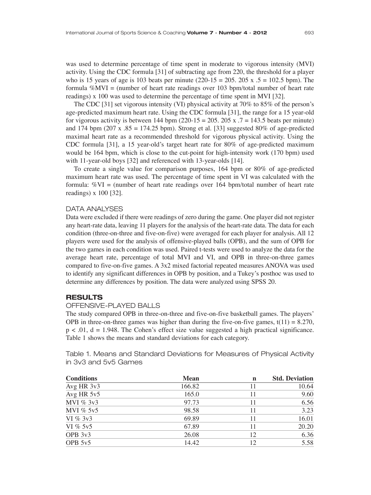was used to determine percentage of time spent in moderate to vigorous intensity (MVI) activity. Using the CDC formula [31] of subtracting age from 220, the threshold for a player who is 15 years of age is 103 beats per minute  $(220-15 = 205, 205 \text{ x}, 5 = 102.5 \text{ bpm})$ . The formula  $\%$ MVI = (number of heart rate readings over 103 bpm/total number of heart rate readings) x 100 was used to determine the percentage of time spent in MVI [32].

The CDC [31] set vigorous intensity (VI) physical activity at  $70\%$  to  $85\%$  of the person's age-predicted maximum heart rate. Using the CDC formula [31], the range for a 15 year-old for vigorous activity is between 144 bpm  $(220-15 = 205, 205 \times 7 = 143.5$  beats per minute) and 174 bpm (207 x  $.85 = 174.25$  bpm). Strong et al. [33] suggested 80% of age-predicted maximal heart rate as a recommended threshold for vigorous physical activity. Using the CDC formula  $[31]$ , a 15 year-old's target heart rate for 80% of age-predicted maximum would be 164 bpm, which is close to the cut-point for high-intensity work (170 bpm) used with 11-year-old boys [32] and referenced with 13-year-olds [14].

To create a single value for comparison purposes, 164 bpm or 80% of age-predicted maximum heart rate was used. The percentage of time spent in VI was calculated with the formula: %VI = (number of heart rate readings over 164 bpm/total number of heart rate readings) x 100 [32].

#### DATA ANALYSES

Data were excluded if there were readings of zero during the game. One player did not register any heart-rate data, leaving 11 players for the analysis of the heart-rate data. The data for each condition (three-on-three and five-on-five) were averaged for each player for analysis. All 12 players were used for the analysis of offensive-played balls (OPB), and the sum of OPB for the two games in each condition was used. Paired t-tests were used to analyze the data for the average heart rate, percentage of total MVI and VI, and OPB in three-on-three games compared to five-on-five games. A 3x2 mixed factorial repeated measures ANOVA was used to identify any significant differences in OPB by position, and a Tukey's posthoc was used to determine any differences by position. The data were analyzed using SPSS 20.

# **RESULTS**

#### OFFENSIVE-PLAYED BALLS

The study compared OPB in three-on-three and five-on-five basketball games. The players' OPB in three-on-three games was higher than during the five-on-five games,  $t(11) = 8.270$ ,  $p < .01$ ,  $d = 1.948$ . The Cohen's effect size value suggested a high practical significance. Table 1 shows the means and standard deviations for each category.

**Conditions Mean n** Std. Deviation **n** Avg HR 3v3 166.82 11 10.64 Avg HR 5v5 165.0 11 9.60 MVI %  $3v3$  97.73 11 6.56 MVI % 5v5 98.58 11 3.23 VI %  $3v3$  69.89 11 16.01 VI % 5v5 67.89  $11 \t 20.20$ OPB  $3v3$  26.08 12 6.36 OPB 5v5  $14.42$  12 5.58

Table 1. Means and Standard Deviations for Measures of Physical Activity in 3v3 and 5v5 Games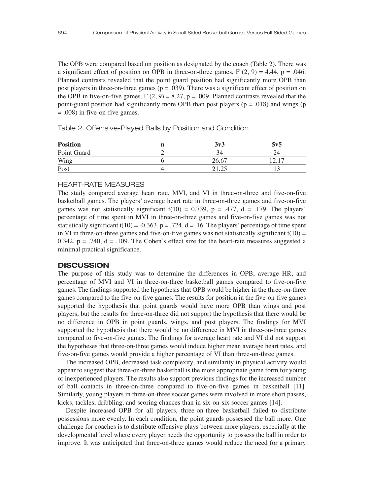The OPB were compared based on position as designated by the coach (Table 2). There was a significant effect of position on OPB in three-on-three games,  $F(2, 9) = 4.44$ ,  $p = .046$ . Planned contrasts revealed that the point guard position had significantly more OPB than post players in three-on-three games ( $p = .039$ ). There was a significant effect of position on the OPB in five-on-five games,  $F(2, 9) = 8.27$ ,  $p = .009$ . Planned contrasts revealed that the point-guard position had significantly more OPB than post players ( $p = .018$ ) and wings (p = .008) in five-on-five games.

Table 2. Offensive-Played Balls by Position and Condition

| <b>Position</b> | 3v3   | 5v5 |
|-----------------|-------|-----|
| Point Guard     |       |     |
| Wing            | 26.67 |     |
| Post            |       |     |

#### HEART-RATE MEASURES

The study compared average heart rate, MVI, and VI in three-on-three and five-on-five basketball games. The players' average heart rate in three-on-three games and five-on-five games was not statistically significant t(10) = 0.739, p = .477, d = .179. The players' percentage of time spent in MVI in three-on-three games and five-on-five games was not statistically significant t(10) = -0.363, p = .724, d = .16. The players' percentage of time spent in VI in three-on-three games and five-on-five games was not statistically significant  $t(10)$  = 0.342,  $p = .740$ ,  $d = .109$ . The Cohen's effect size for the heart-rate measures suggested a minimal practical significance.

#### **DISCUSSION**

The purpose of this study was to determine the differences in OPB, average HR, and percentage of MVI and VI in three-on-three basketball games compared to five-on-five games. The findings supported the hypothesis that OPB would be higher in the three-on-three games compared to the five-on-five games. The results for position in the five-on-five games supported the hypothesis that point guards would have more OPB than wings and post players, but the results for three-on-three did not support the hypothesis that there would be no difference in OPB in point guards, wings, and post players. The findings for MVI supported the hypothesis that there would be no difference in MVI in three-on-three games compared to five-on-five games. The findings for average heart rate and VI did not support the hypotheses that three-on-three games would induce higher mean average heart rates, and five-on-five games would provide a higher percentage of VI than three-on-three games.

The increased OPB, decreased task complexity, and similarity in physical activity would appear to suggest that three-on-three basketball is the more appropriate game form for young or inexperienced players. The results also support previous findings for the increased number of ball contacts in three-on-three compared to five-on-five games in basketball [11]. Similarly, young players in three-on-three soccer games were involved in more short passes, kicks, tackles, dribbling, and scoring chances than in six-on-six soccer games [14].

Despite increased OPB for all players, three-on-three basketball failed to distribute possessions more evenly. In each condition, the point guards possessed the ball more. One challenge for coaches is to distribute offensive plays between more players, especially at the developmental level where every player needs the opportunity to possess the ball in order to improve. It was anticipated that three-on-three games would reduce the need for a primary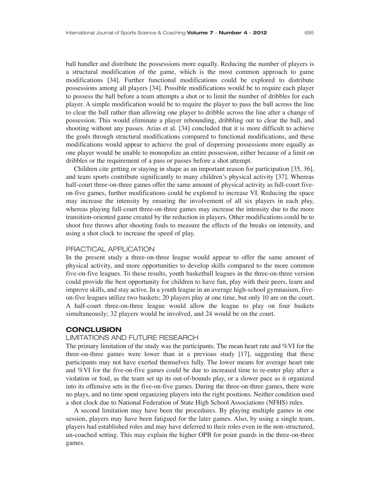ball handler and distribute the possessions more equally. Reducing the number of players is a structural modification of the game, which is the most common approach to game modifications [34]. Further functional modifications could be explored to distribute possessions among all players [34]. Possible modifications would be to require each player to possess the ball before a team attempts a shot or to limit the number of dribbles for each player. A simple modification would be to require the player to pass the ball across the line to clear the ball rather than allowing one player to dribble across the line after a change of possession. This would eliminate a player rebounding, dribbling out to clear the ball, and shooting without any passes. Arias et al. [34] concluded that it is more difficult to achieve the goals through structural modifications compared to functional modifications, and these modifications would appear to achieve the goal of dispersing possessions more equally as one player would be unable to monopolize an entire possession, either because of a limit on dribbles or the requirement of a pass or passes before a shot attempt.

Children cite getting or staying in shape as an important reason for participation [35, 36], and team sports contribute significantly to many children's physical activity [37]. Whereas half-court three-on-three games offer the same amount of physical activity as full-court fiveon-five games, further modifications could be explored to increase VI. Reducing the space may increase the intensity by ensuring the involvement of all six players in each play, whereas playing full-court three-on-three games may increase the intensity due to the more transition-oriented game created by the reduction in players. Other modifications could be to shoot free throws after shooting fouls to measure the effects of the breaks on intensity, and using a shot clock to increase the speed of play.

# PRACTICAL APPLICATION

In the present study a three-on-three league would appear to offer the same amount of physical activity, and more opportunities to develop skills compared to the more common five-on-five leagues. To these results, youth basketball leagues in the three-on-three version could provide the best opportunity for children to have fun, play with their peers, learn and improve skills, and stay active. In a youth league in an average high-school gymnasium, fiveon-five leagues utilize two baskets; 20 players play at one time, but only 10 are on the court. A half-court three-on-three league would allow the league to play on four baskets simultaneously; 32 players would be involved, and 24 would be on the court.

#### **CONCLUSION**

# LIMITATIONS AND FUTURE RESEARCH

The primary limitation of the study was the participants. The mean heart rate and %VI for the three-on-three games were lower than in a previous study [17], suggesting that these participants may not have exerted themselves fully. The lower means for average heart rate and %VI for the five-on-five games could be due to increased time to re-enter play after a violation or foul, as the team set up its out-of-bounds play, or a slower pace as it organized into its offensive sets in the five-on-five games. During the three-on-three games, there were no plays, and no time spent organizing players into the right positions. Neither condition used a shot clock due to National Federation of State High School Associations (NFHS) rules.

A second limitation may have been the procedures. By playing multiple games in one session, players may have been fatigued for the later games. Also, by using a single team, players had established roles and may have deferred to their roles even in the non-structured, un-coached setting. This may explain the higher OPB for point guards in the three-on-three games.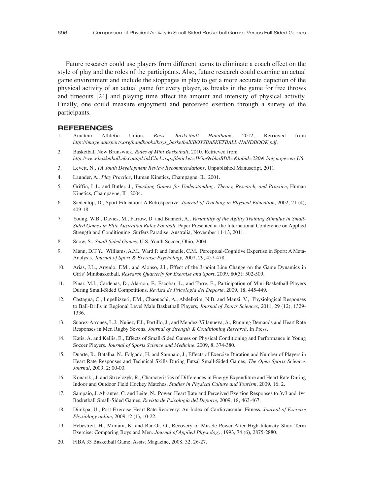Future research could use players from different teams to eliminate a coach effect on the style of play and the roles of the participants. Also, future research could examine an actual game environment and include the stoppages in play to get a more accurate depiction of the physical activity of an actual game for every player, as breaks in the game for free throws and timeouts [24] and playing time affect the amount and intensity of physical activity. Finally, one could measure enjoyment and perceived exertion through a survey of the participants.

#### **REFERENCES**

- 1. Amateur Athletic Union, *Boys% Basketball Handbook*, 2012, Retrieved from *http://image.aausports.org/handbooks/boys\_basketball/BOYSBASKETBALL-HANDBOOK.pdf.*
- 2. Basketball New Brunswick, *Rules of Mini Basketball*, 2010, Retrieved from *http://www.basketball.nb.caappLinkClick.aspxfileticket=HGm9vbhoBD8=&tabid=220& language=en-US*
- 3. Levett, N., *FA Youth Development Review Recommendations*, Unpublished Manuscript, 2011.
- 4. Launder, A., *Play Practice*, Human Kinetics, Champagne, IL, 2001.
- 5. Griffin, L.L. and Butler, J., *Teaching Games for Understanding: Theory, Research, and Practice*, Human Kinetics, Champagne, IL, 2004.
- 6. Siedentop, D., Sport Education: A Retrospective. *Journal of Teaching in Physical Education*, 2002, 21 (4), 409-18.
- 7. Young, W.B., Davies, M., Farrow, D. and Bahnert, A., *Variability of the Agility Training Stimulus in Small-Sided Games in Elite Australian Rules Football.* Paper Presented at the International Conference on Applied Strength and Conditioning, Surfers Paradise, Australia, November 11-13, 2011.
- 8. Snow, S., *Small Sided Games*, U.S. Youth Soccer, Ohio, 2004.
- 9. Mann, D.T.Y., Williams, A.M., Ward P. and Janelle, C.M., Perceptual-Cognitive Expertise in Sport: A Meta-Analysis, *Journal of Sport & Exercise Psychology*, 2007, 29, 457-478.
- 10. Arias, J.L., Argudo, F.M., and Alonso, J.I., Effect of the 3-point Line Change on the Game Dynamics in Girls] Minibasketball, *Research Quarterly for Exercise and Sport*, 2009, 80(3): 502-509.
- 11. Pinar, M.I., Cardenas, D., Alarcon, F., Escobar, L., and Torre, E., Participation of Mini-Basketball Players During Small-Sided Competitions. *Revista de Psicologia del Deporte*, 2009, 18, 445-449.
- 12. Castagna, C., Impellizzeri, F.M., Chaouachi, A., Abdelkrim, N.B. and Manzi, V., Physiological Responses to Ball-Drills in Regional Level Male Basketball Players, *Journal of Sports Sciences*, 2011, 29 (12), 1329- 1336.
- 13. Suarez-Arrones, L.J., Nuñez, F.J., Portillo, J., and Mendez-Villanueva, A., Running Demands and Heart Rate Responses in Men Rugby Sevens. *Journal of Strength & Conditioning Research*, In Press.
- 14. Katis, A. and Kellis, E., Effects of Small-Sided Games on Physical Conditioning and Performance in Young Soccer Players. *Journal of Sports Science and Medicine*, 2009, 8, 374-380.
- 15. Duarte, R., Batalha, N., Folgado, H. and Sampaio, J., Effects of Exercise Duration and Number of Players in Heart Rate Responses and Technical Skills During Futsal Small-Sided Games, *The Open Sports Sciences Journal*, 2009, 2: 00-00.
- 16. Konarski, J. and Strzelczyk, R., Characteristics of Differences in Energy Expenditure and Heart Rate During Indoor and Outdoor Field Hockey Matches, *Studies in Physical Culture and Tourism*, 2009, 16, 2.
- 17. Sampaio, J. Abrantes, C. and Leite, N., Power, Heart Rate and Perceived Exertion Responses to 3v3 and 4v4 Basketball Small-Sided Games, *Revista de Psicología del Deporte*, 2009, 18, 463-467.
- 18. Dimkpa, U., Post-Exercise Heart Rate Recovery: An Index of Cardiovascular Fitness, *Journal of Exercise Physiology online*, 2009,12 (1), 10-22.
- 19. Hebestreit, H., Mimura, K. and Bar-Or, O., Recovery of Muscle Power After High-Intensity Short-Term Exercise: Comparing Boys and Men. *Journal of Applied Physiology*, 1993, 74 (6), 2875-2880.
- 20. FIBA 33 Basketball Game, Assist Magazine, 2008, 32, 26-27.